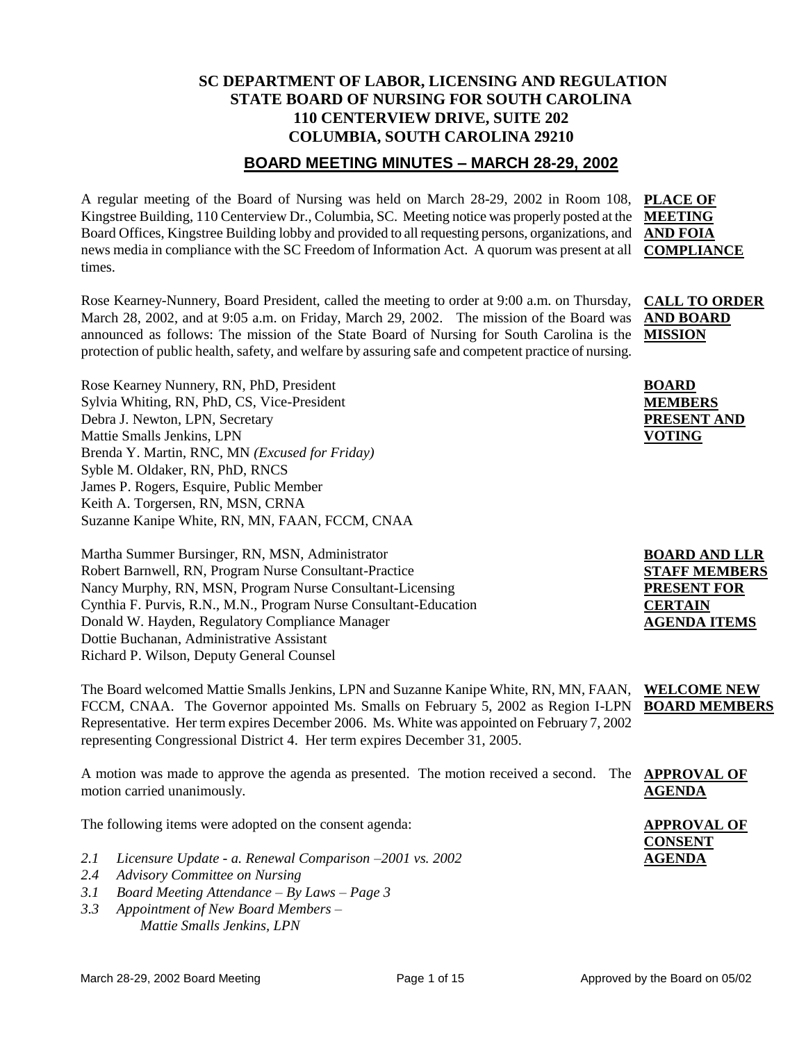## **SC DEPARTMENT OF LABOR, LICENSING AND REGULATION STATE BOARD OF NURSING FOR SOUTH CAROLINA 110 CENTERVIEW DRIVE, SUITE 202 COLUMBIA, SOUTH CAROLINA 29210**

### **BOARD MEETING MINUTES – MARCH 28-29, 2002**

A regular meeting of the Board of Nursing was held on March 28-29, 2002 in Room 108, Kingstree Building, 110 Centerview Dr., Columbia, SC. Meeting notice was properly posted at the Board Offices, Kingstree Building lobby and provided to all requesting persons, organizations, and **AND FOIA**  news media in compliance with the SC Freedom of Information Act. A quorum was present at all times. **PLACE OF MEETING COMPLIANCE**

Rose Kearney-Nunnery, Board President, called the meeting to order at 9:00 a.m. on Thursday, March 28, 2002, and at 9:05 a.m. on Friday, March 29, 2002. The mission of the Board was announced as follows: The mission of the State Board of Nursing for South Carolina is the protection of public health, safety, and welfare by assuring safe and competent practice of nursing. **CALL TO ORDER MISSION**

Rose Kearney Nunnery, RN, PhD, President Sylvia Whiting, RN, PhD, CS, Vice-President Debra J. Newton, LPN, Secretary Mattie Smalls Jenkins, LPN Brenda Y. Martin, RNC, MN *(Excused for Friday)* Syble M. Oldaker, RN, PhD, RNCS James P. Rogers, Esquire, Public Member Keith A. Torgersen, RN, MSN, CRNA Suzanne Kanipe White, RN, MN, FAAN, FCCM, CNAA

Martha Summer Bursinger, RN, MSN, Administrator Robert Barnwell, RN, Program Nurse Consultant-Practice Nancy Murphy, RN, MSN, Program Nurse Consultant-Licensing Cynthia F. Purvis, R.N., M.N., Program Nurse Consultant-Education Donald W. Hayden, Regulatory Compliance Manager Dottie Buchanan, Administrative Assistant Richard P. Wilson, Deputy General Counsel

The Board welcomed Mattie Smalls Jenkins, LPN and Suzanne Kanipe White, RN, MN, FAAN, FCCM, CNAA. The Governor appointed Ms. Smalls on February 5, 2002 as Region I-LPN Representative. Her term expires December 2006. Ms. White was appointed on February 7, 2002 representing Congressional District 4. Her term expires December 31, 2005. **WELCOME NEW BOARD MEMBERS**

| A motion was made to approve the agenda as presented. The motion received a second. The <b>APP</b> |  |     |
|----------------------------------------------------------------------------------------------------|--|-----|
| motion carried unanimously.                                                                        |  | AGI |

The following items were adopted on the consent agenda:

- *2.1 Licensure Update - a. Renewal Comparison –2001 vs. 2002*
- *2.4 Advisory Committee on Nursing*
- *3.1 Board Meeting Attendance – By Laws – Page 3*
- *3.3 Appointment of New Board Members – Mattie Smalls Jenkins, LPN*

**BOARD MEMBERS PRESENT AND** 

**VOTING**

**AND BOARD** 

**BOARD AND LLR STAFF MEMBERS PRESENT FOR CERTAIN AGENDA ITEMS**

**PROVAL OF AGENDA**

**APPROVAL OF CONSENT AGENDA**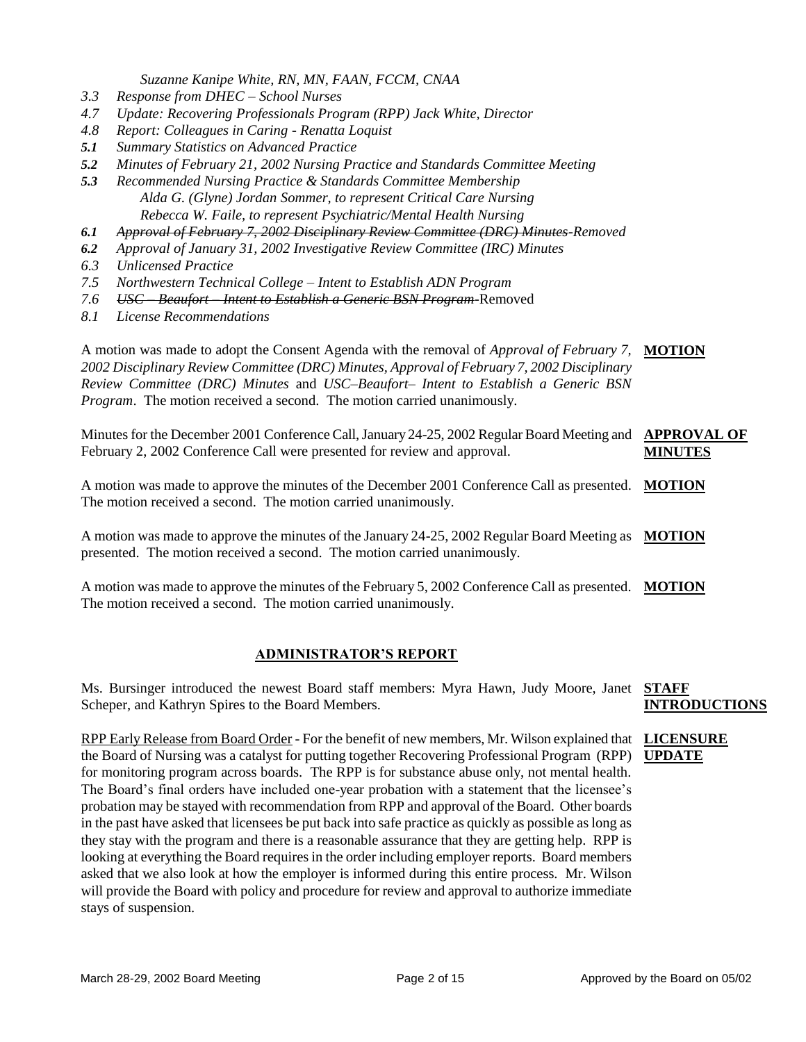*Suzanne Kanipe White, RN, MN, FAAN, FCCM, CNAA*

- *3.3 Response from DHEC – School Nurses*
- *4.7 Update: Recovering Professionals Program (RPP) Jack White, Director*
- *4.8 Report: Colleagues in Caring - Renatta Loquist*
- *5.1 Summary Statistics on Advanced Practice*
- *5.2 Minutes of February 21, 2002 Nursing Practice and Standards Committee Meeting*
- *5.3 Recommended Nursing Practice & Standards Committee Membership Alda G. (Glyne) Jordan Sommer, to represent Critical Care Nursing Rebecca W. Faile, to represent Psychiatric/Mental Health Nursing*
- *6.1 Approval of February 7, 2002 Disciplinary Review Committee (DRC) Minutes-Removed*
- *6.2 Approval of January 31, 2002 Investigative Review Committee (IRC) Minutes*
- *6.3 Unlicensed Practice*
- *7.5 Northwestern Technical College – Intent to Establish ADN Program*
- *7.6 USC – Beaufort – Intent to Establish a Generic BSN Program-*Removed
- *8.1 License Recommendations*

A motion was made to adopt the Consent Agenda with the removal of *Approval of February 7,*  **MOTION** *2002 Disciplinary Review Committee (DRC) Minutes, Approval of February 7, 2002 Disciplinary Review Committee (DRC) Minutes* and *USC–Beaufort– Intent to Establish a Generic BSN Program*. The motion received a second. The motion carried unanimously.

Minutes for the December 2001 Conference Call, January 24-25, 2002 Regular Board Meeting and **APPROVAL OF** February 2, 2002 Conference Call were presented for review and approval. **MINUTES**

A motion was made to approve the minutes of the December 2001 Conference Call as presented. **MOTION** The motion received a second. The motion carried unanimously.

A motion was made to approve the minutes of the January 24-25, 2002 Regular Board Meeting as **MOTION** presented. The motion received a second. The motion carried unanimously.

A motion was made to approve the minutes of the February 5, 2002 Conference Call as presented. **MOTION** The motion received a second. The motion carried unanimously.

### **ADMINISTRATOR'S REPORT**

Ms. Bursinger introduced the newest Board staff members: Myra Hawn, Judy Moore, Janet **STAFF**  Scheper, and Kathryn Spires to the Board Members. **INTRODUCTIONS**

RPP Early Release from Board Order - For the benefit of new members, Mr. Wilson explained that **LICENSURE**  the Board of Nursing was a catalyst for putting together Recovering Professional Program (RPP) **UPDATE**for monitoring program across boards. The RPP is for substance abuse only, not mental health. The Board's final orders have included one-year probation with a statement that the licensee's probation may be stayed with recommendation from RPP and approval of the Board. Other boards in the past have asked that licensees be put back into safe practice as quickly as possible as long as they stay with the program and there is a reasonable assurance that they are getting help. RPP is looking at everything the Board requires in the order including employer reports. Board members asked that we also look at how the employer is informed during this entire process. Mr. Wilson will provide the Board with policy and procedure for review and approval to authorize immediate stays of suspension.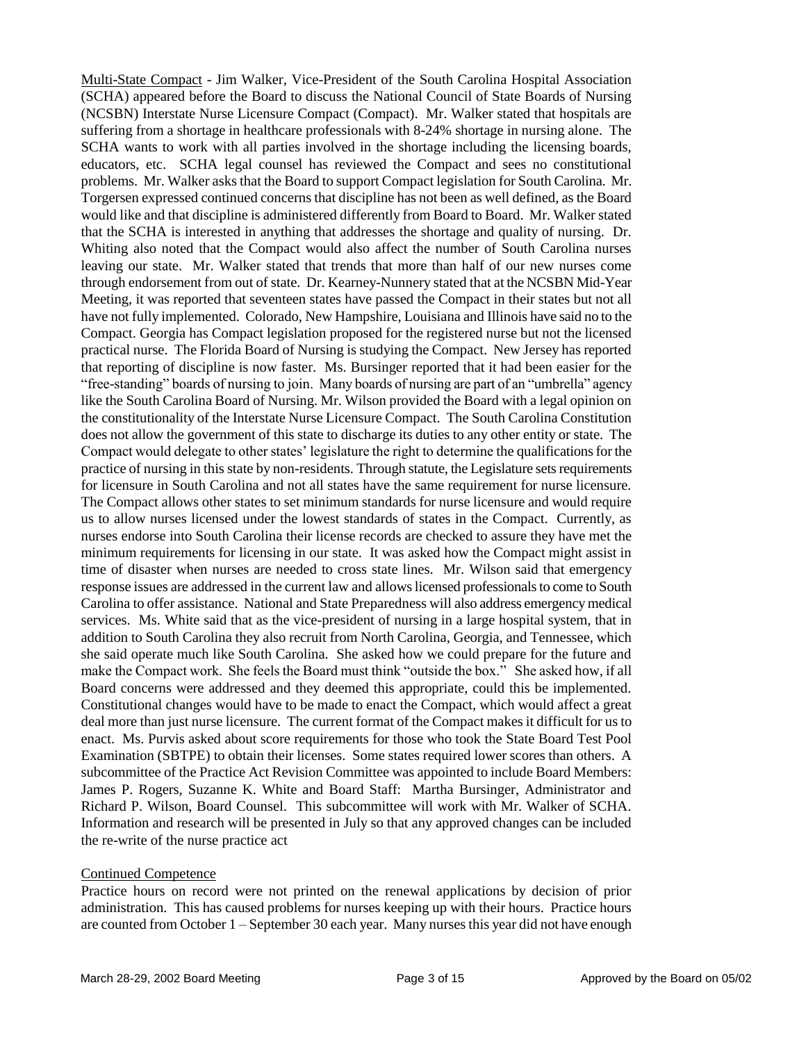Multi-State Compact - Jim Walker, Vice-President of the South Carolina Hospital Association (SCHA) appeared before the Board to discuss the National Council of State Boards of Nursing (NCSBN) Interstate Nurse Licensure Compact (Compact). Mr. Walker stated that hospitals are suffering from a shortage in healthcare professionals with 8-24% shortage in nursing alone. The SCHA wants to work with all parties involved in the shortage including the licensing boards, educators, etc. SCHA legal counsel has reviewed the Compact and sees no constitutional problems. Mr. Walker asks that the Board to support Compact legislation for South Carolina. Mr. Torgersen expressed continued concerns that discipline has not been as well defined, as the Board would like and that discipline is administered differently from Board to Board. Mr. Walker stated that the SCHA is interested in anything that addresses the shortage and quality of nursing. Dr. Whiting also noted that the Compact would also affect the number of South Carolina nurses leaving our state. Mr. Walker stated that trends that more than half of our new nurses come through endorsement from out of state. Dr. Kearney-Nunnery stated that at the NCSBN Mid-Year Meeting, it was reported that seventeen states have passed the Compact in their states but not all have not fully implemented. Colorado, New Hampshire, Louisiana and Illinois have said no to the Compact. Georgia has Compact legislation proposed for the registered nurse but not the licensed practical nurse. The Florida Board of Nursing is studying the Compact. New Jersey has reported that reporting of discipline is now faster. Ms. Bursinger reported that it had been easier for the "free-standing" boards of nursing to join. Many boards of nursing are part of an "umbrella" agency like the South Carolina Board of Nursing. Mr. Wilson provided the Board with a legal opinion on the constitutionality of the Interstate Nurse Licensure Compact. The South Carolina Constitution does not allow the government of this state to discharge its duties to any other entity or state. The Compact would delegate to other states' legislature the right to determine the qualifications for the practice of nursing in this state by non-residents. Through statute, the Legislature sets requirements for licensure in South Carolina and not all states have the same requirement for nurse licensure. The Compact allows other states to set minimum standards for nurse licensure and would require us to allow nurses licensed under the lowest standards of states in the Compact. Currently, as nurses endorse into South Carolina their license records are checked to assure they have met the minimum requirements for licensing in our state. It was asked how the Compact might assist in time of disaster when nurses are needed to cross state lines. Mr. Wilson said that emergency response issues are addressed in the current law and allows licensed professionals to come to South Carolina to offer assistance. National and State Preparedness will also address emergency medical services. Ms. White said that as the vice-president of nursing in a large hospital system, that in addition to South Carolina they also recruit from North Carolina, Georgia, and Tennessee, which she said operate much like South Carolina. She asked how we could prepare for the future and make the Compact work. She feels the Board must think "outside the box." She asked how, if all Board concerns were addressed and they deemed this appropriate, could this be implemented. Constitutional changes would have to be made to enact the Compact, which would affect a great deal more than just nurse licensure. The current format of the Compact makes it difficult for us to enact. Ms. Purvis asked about score requirements for those who took the State Board Test Pool Examination (SBTPE) to obtain their licenses. Some states required lower scores than others. A subcommittee of the Practice Act Revision Committee was appointed to include Board Members: James P. Rogers, Suzanne K. White and Board Staff: Martha Bursinger, Administrator and Richard P. Wilson, Board Counsel. This subcommittee will work with Mr. Walker of SCHA. Information and research will be presented in July so that any approved changes can be included the re-write of the nurse practice act

### Continued Competence

Practice hours on record were not printed on the renewal applications by decision of prior administration. This has caused problems for nurses keeping up with their hours. Practice hours are counted from October 1 – September 30 each year. Many nurses this year did not have enough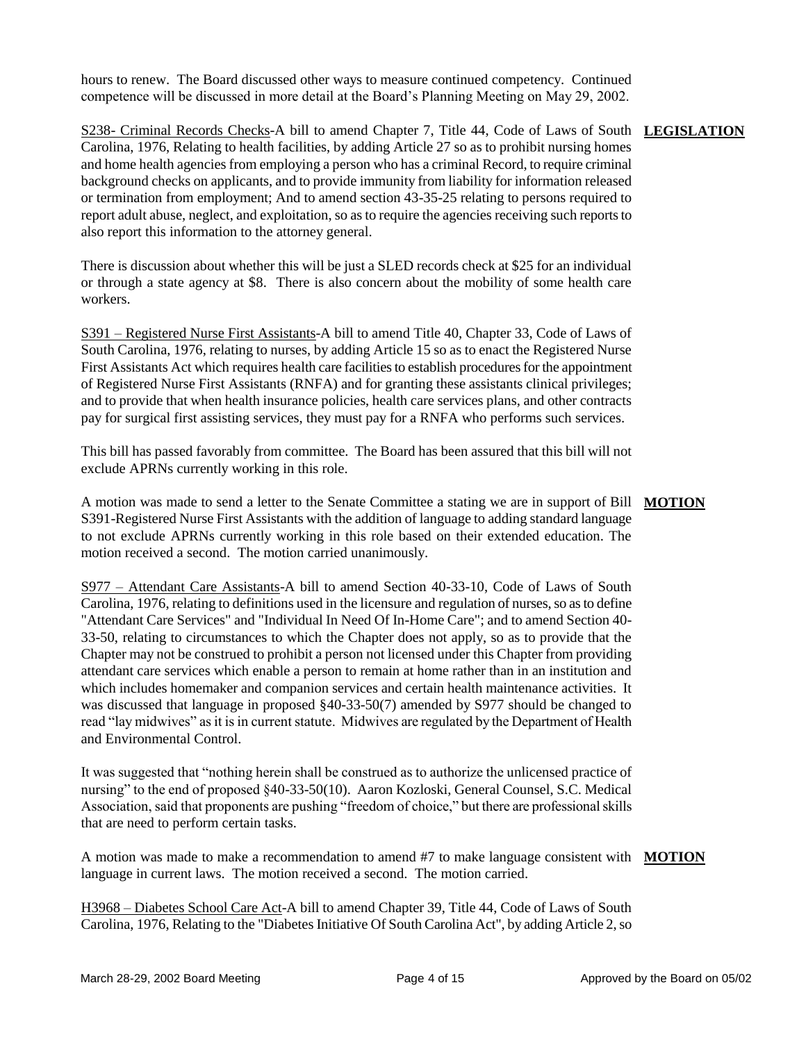hours to renew. The Board discussed other ways to measure continued competency. Continued competence will be discussed in more detail at the Board's Planning Meeting on May 29, 2002.

### S238- Criminal Records Checks-A bill to amend Chapter 7, Title 44, Code of Laws of South **LEGISLATION** Carolina, 1976, Relating to health facilities, by adding Article 27 so as to prohibit nursing homes and home health agencies from employing a person who has a criminal Record, to require criminal background checks on applicants, and to provide immunity from liability for information released or termination from employment; And to amend section 43-35-25 relating to persons required to report adult abuse, neglect, and exploitation, so as to require the agencies receiving such reports to also report this information to the attorney general.

There is discussion about whether this will be just a SLED records check at \$25 for an individual or through a state agency at \$8. There is also concern about the mobility of some health care workers.

S391 – Registered Nurse First Assistants-A bill to amend Title 40, Chapter 33, Code of Laws of South Carolina, 1976, relating to nurses, by adding Article 15 so as to enact the Registered Nurse First Assistants Act which requires health care facilities to establish procedures for the appointment of Registered Nurse First Assistants (RNFA) and for granting these assistants clinical privileges; and to provide that when health insurance policies, health care services plans, and other contracts pay for surgical first assisting services, they must pay for a RNFA who performs such services.

This bill has passed favorably from committee. The Board has been assured that this bill will not exclude APRNs currently working in this role.

A motion was made to send a letter to the Senate Committee a stating we are in support of Bill **MOTION** S391-Registered Nurse First Assistants with the addition of language to adding standard language to not exclude APRNs currently working in this role based on their extended education. The motion received a second. The motion carried unanimously.

S977 – Attendant Care Assistants-A bill to amend Section 40-33-10, Code of Laws of South Carolina, 1976, relating to definitions used in the licensure and regulation of nurses, so as to define "Attendant Care Services" and "Individual In Need Of In-Home Care"; and to amend Section 40- 33-50, relating to circumstances to which the Chapter does not apply, so as to provide that the Chapter may not be construed to prohibit a person not licensed under this Chapter from providing attendant care services which enable a person to remain at home rather than in an institution and which includes homemaker and companion services and certain health maintenance activities. It was discussed that language in proposed §40-33-50(7) amended by S977 should be changed to read "lay midwives" as it is in current statute. Midwives are regulated by the Department of Health and Environmental Control.

It was suggested that "nothing herein shall be construed as to authorize the unlicensed practice of nursing" to the end of proposed §40-33-50(10). Aaron Kozloski, General Counsel, S.C. Medical Association, said that proponents are pushing "freedom of choice," but there are professional skills that are need to perform certain tasks.

A motion was made to make a recommendation to amend #7 to make language consistent with MOTION language in current laws. The motion received a second. The motion carried.

H3968 – Diabetes School Care Act-A bill to amend Chapter 39, Title 44, Code of Laws of South Carolina, 1976, Relating to the "Diabetes Initiative Of South Carolina Act", by adding Article 2, so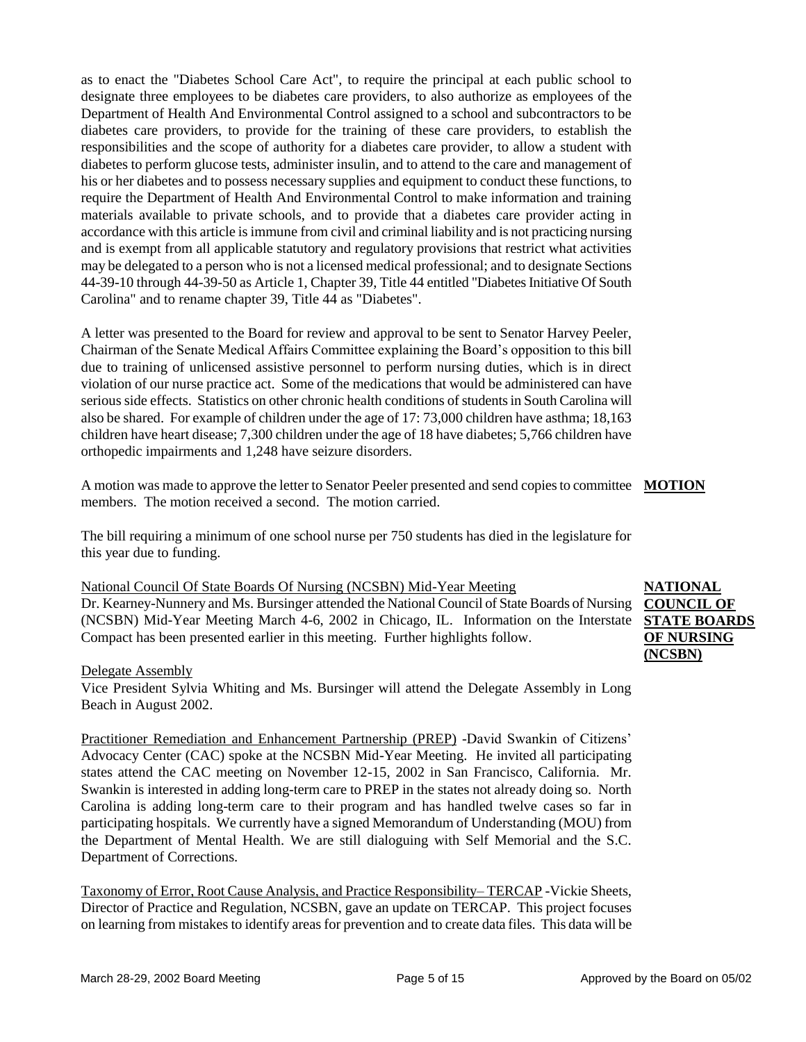as to enact the "Diabetes School Care Act", to require the principal at each public school to designate three employees to be diabetes care providers, to also authorize as employees of the Department of Health And Environmental Control assigned to a school and subcontractors to be diabetes care providers, to provide for the training of these care providers, to establish the responsibilities and the scope of authority for a diabetes care provider, to allow a student with diabetes to perform glucose tests, administer insulin, and to attend to the care and management of his or her diabetes and to possess necessary supplies and equipment to conduct these functions, to require the Department of Health And Environmental Control to make information and training materials available to private schools, and to provide that a diabetes care provider acting in accordance with this article is immune from civil and criminal liability and is not practicing nursing and is exempt from all applicable statutory and regulatory provisions that restrict what activities may be delegated to a person who is not a licensed medical professional; and to designate Sections 44-39-10 through 44-39-50 as Article 1, Chapter 39, Title 44 entitled "Diabetes Initiative Of South Carolina" and to rename chapter 39, Title 44 as "Diabetes".

A letter was presented to the Board for review and approval to be sent to Senator Harvey Peeler, Chairman of the Senate Medical Affairs Committee explaining the Board's opposition to this bill due to training of unlicensed assistive personnel to perform nursing duties, which is in direct violation of our nurse practice act. Some of the medications that would be administered can have serious side effects. Statistics on other chronic health conditions of students in South Carolina will also be shared. For example of children under the age of 17: 73,000 children have asthma; 18,163 children have heart disease; 7,300 children under the age of 18 have diabetes; 5,766 children have orthopedic impairments and 1,248 have seizure disorders.

A motion was made to approve the letter to Senator Peeler presented and send copies to committee **MOTION** members. The motion received a second. The motion carried.

The bill requiring a minimum of one school nurse per 750 students has died in the legislature for this year due to funding.

### National Council Of State Boards Of Nursing (NCSBN) Mid-Year Meeting

Dr. Kearney-Nunnery and Ms. Bursinger attended the National Council of State Boards of Nursing (NCSBN) Mid-Year Meeting March 4-6, 2002 in Chicago, IL. Information on the Interstate Compact has been presented earlier in this meeting. Further highlights follow.

### Delegate Assembly

Vice President Sylvia Whiting and Ms. Bursinger will attend the Delegate Assembly in Long Beach in August 2002.

Practitioner Remediation and Enhancement Partnership (PREP) -David Swankin of Citizens' Advocacy Center (CAC) spoke at the NCSBN Mid-Year Meeting. He invited all participating states attend the CAC meeting on November 12-15, 2002 in San Francisco, California. Mr. Swankin is interested in adding long-term care to PREP in the states not already doing so. North Carolina is adding long-term care to their program and has handled twelve cases so far in participating hospitals. We currently have a signed Memorandum of Understanding (MOU) from the Department of Mental Health. We are still dialoguing with Self Memorial and the S.C. Department of Corrections.

Taxonomy of Error, Root Cause Analysis, and Practice Responsibility– TERCAP -Vickie Sheets, Director of Practice and Regulation, NCSBN, gave an update on TERCAP. This project focuses on learning from mistakes to identify areas for prevention and to create data files. This data will be

**NATIONAL COUNCIL OF STATE BOARDS OF NURSING (NCSBN)**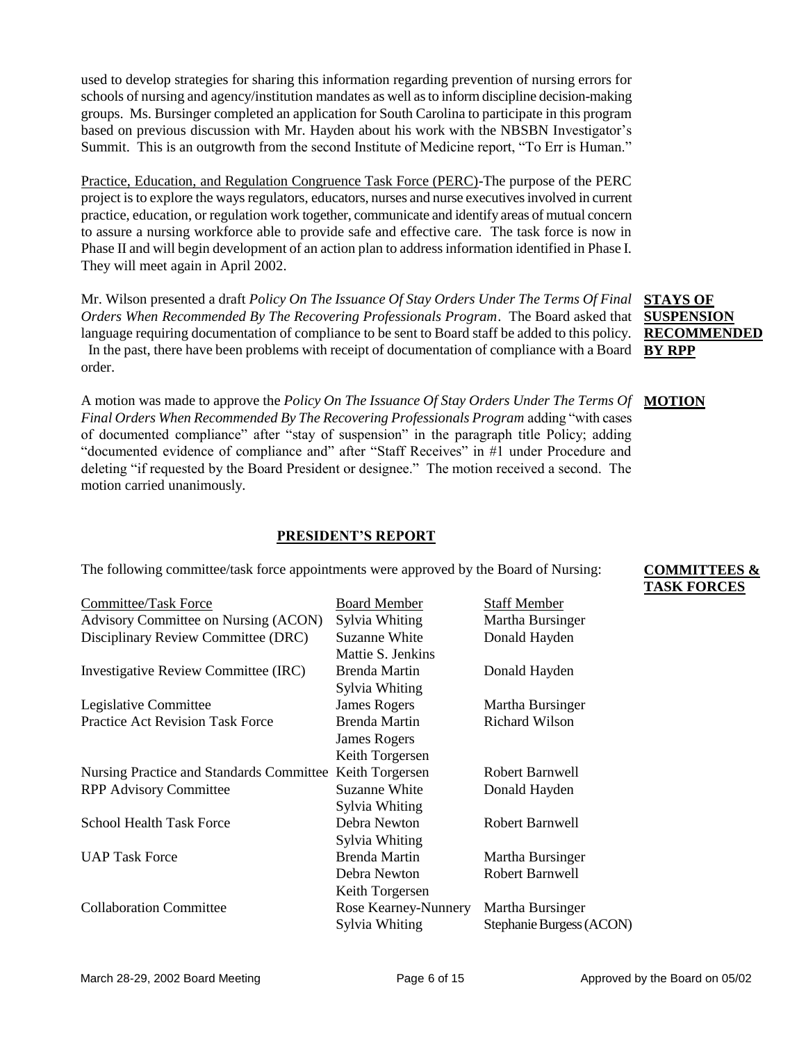used to develop strategies for sharing this information regarding prevention of nursing errors for schools of nursing and agency/institution mandates as well as to inform discipline decision-making groups. Ms. Bursinger completed an application for South Carolina to participate in this program based on previous discussion with Mr. Hayden about his work with the NBSBN Investigator's Summit. This is an outgrowth from the second Institute of Medicine report, "To Err is Human."

Practice, Education, and Regulation Congruence Task Force (PERC)-The purpose of the PERC project is to explore the ways regulators, educators, nurses and nurse executives involved in current practice, education, or regulation work together, communicate and identify areas of mutual concern to assure a nursing workforce able to provide safe and effective care. The task force is now in Phase II and will begin development of an action plan to address information identified in Phase I. They will meet again in April 2002.

Mr. Wilson presented a draft *Policy On The Issuance Of Stay Orders Under The Terms Of Final Orders When Recommended By The Recovering Professionals Program*. The Board asked that language requiring documentation of compliance to be sent to Board staff be added to this policy. In the past, there have been problems with receipt of documentation of compliance with a Board **BY RPP** order.

A motion was made to approve the *Policy On The Issuance Of Stay Orders Under The Terms Of Final Orders When Recommended By The Recovering Professionals Program* adding "with cases of documented compliance" after "stay of suspension" in the paragraph title Policy; adding "documented evidence of compliance and" after "Staff Receives" in #1 under Procedure and deleting "if requested by the Board President or designee." The motion received a second. The motion carried unanimously. **MOTION**

### **PRESIDENT'S REPORT**

| <b>Committee/Task Force</b>              | <b>Board Member</b>  | <b>Staff Member</b>      |
|------------------------------------------|----------------------|--------------------------|
| Advisory Committee on Nursing (ACON)     | Sylvia Whiting       | Martha Bursinger         |
| Disciplinary Review Committee (DRC)      | Suzanne White        | Donald Hayden            |
|                                          | Mattie S. Jenkins    |                          |
| Investigative Review Committee (IRC)     | Brenda Martin        | Donald Hayden            |
|                                          | Sylvia Whiting       |                          |
| Legislative Committee                    | James Rogers         | Martha Bursinger         |
| <b>Practice Act Revision Task Force</b>  | Brenda Martin        | <b>Richard Wilson</b>    |
|                                          | <b>James Rogers</b>  |                          |
|                                          | Keith Torgersen      |                          |
| Nursing Practice and Standards Committee | Keith Torgersen      | Robert Barnwell          |
| <b>RPP Advisory Committee</b>            | Suzanne White        | Donald Hayden            |
|                                          | Sylvia Whiting       |                          |
| <b>School Health Task Force</b>          | Debra Newton         | Robert Barnwell          |
|                                          | Sylvia Whiting       |                          |
| <b>UAP Task Force</b>                    | <b>Brenda Martin</b> | Martha Bursinger         |
|                                          | Debra Newton         | Robert Barnwell          |
|                                          | Keith Torgersen      |                          |
| <b>Collaboration Committee</b>           | Rose Kearney-Nunnery | Martha Bursinger         |
|                                          | Sylvia Whiting       | Stephanie Burgess (ACON) |

The following committee/task force appointments were approved by the Board of Nursing:

### **COMMITTEES & TASK FORCES**

**STAYS OF SUSPENSION RECOMMENDED**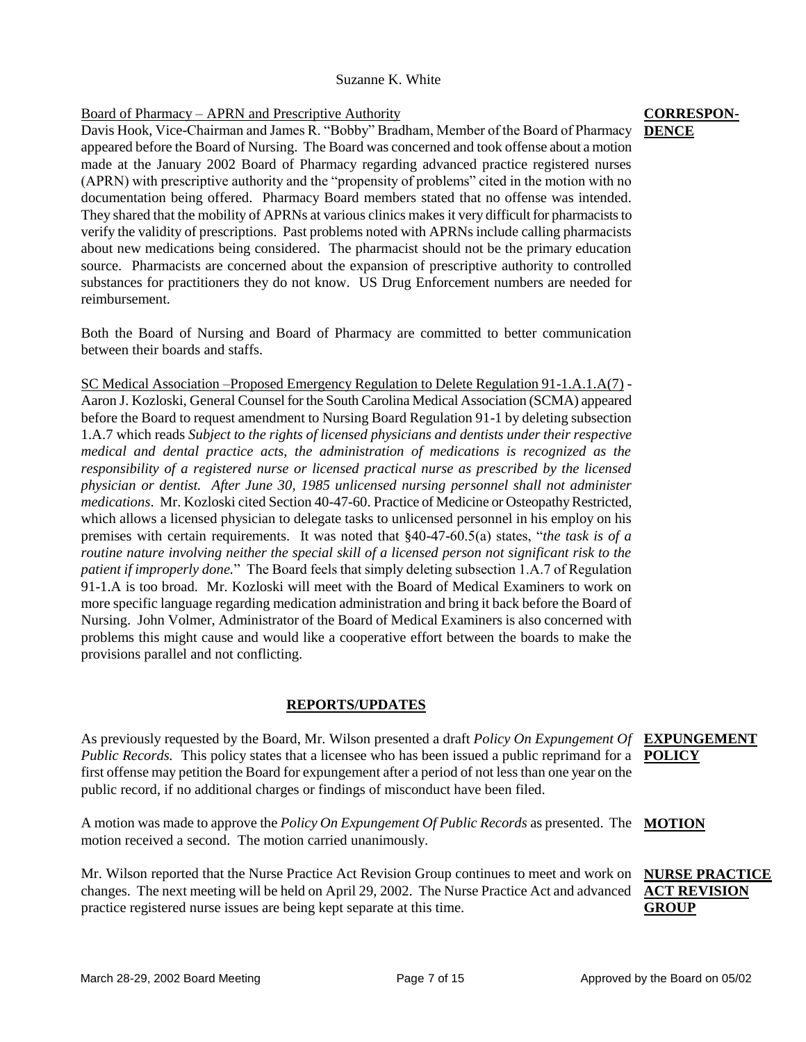### Suzanne K. White

### Board of Pharmacy – APRN and Prescriptive Authority

Davis Hook, Vice-Chairman and James R. "Bobby" Bradham, Member of the Board of Pharmacy appeared before the Board of Nursing. The Board was concerned and took offense about a motion made at the January 2002 Board of Pharmacy regarding advanced practice registered nurses (APRN) with prescriptive authority and the "propensity of problems" cited in the motion with no documentation being offered. Pharmacy Board members stated that no offense was intended. They shared that the mobility of APRNs at various clinics makes it very difficult for pharmacists to verify the validity of prescriptions. Past problems noted with APRNs include calling pharmacists about new medications being considered. The pharmacist should not be the primary education source. Pharmacists are concerned about the expansion of prescriptive authority to controlled substances for practitioners they do not know. US Drug Enforcement numbers are needed for reimbursement.

Both the Board of Nursing and Board of Pharmacy are committed to better communication between their boards and staffs.

SC Medical Association –Proposed Emergency Regulation to Delete Regulation 91-1.A.1.A(7) - Aaron J. Kozloski, General Counsel for the South Carolina Medical Association (SCMA) appeared before the Board to request amendment to Nursing Board Regulation 91-1 by deleting subsection 1.A.7 which reads *Subject to the rights of licensed physicians and dentists under their respective medical and dental practice acts, the administration of medications is recognized as the responsibility of a registered nurse or licensed practical nurse as prescribed by the licensed physician or dentist. After June 30, 1985 unlicensed nursing personnel shall not administer medications*. Mr. Kozloski cited Section 40-47-60. Practice of Medicine or Osteopathy Restricted, which allows a licensed physician to delegate tasks to unlicensed personnel in his employ on his premises with certain requirements. It was noted that §40-47-60.5(a) states, "*the task is of a routine nature involving neither the special skill of a licensed person not significant risk to the patient if improperly done.*" The Board feels that simply deleting subsection 1.A.7 of Regulation 91-1.A is too broad. Mr. Kozloski will meet with the Board of Medical Examiners to work on more specific language regarding medication administration and bring it back before the Board of Nursing. John Volmer, Administrator of the Board of Medical Examiners is also concerned with problems this might cause and would like a cooperative effort between the boards to make the provisions parallel and not conflicting.

### **REPORTS/UPDATES**

As previously requested by the Board, Mr. Wilson presented a draft *Policy On Expungement Of*  **EXPUNGEMENT**  *Public Records.* This policy states that a licensee who has been issued a public reprimand for a **POLICY** first offense may petition the Board for expungement after a period of not less than one year on the public record, if no additional charges or findings of misconduct have been filed.

A motion was made to approve the *Policy On Expungement Of Public Records* as presented. The **MOTION** motion received a second. The motion carried unanimously.

Mr. Wilson reported that the Nurse Practice Act Revision Group continues to meet and work on **NURSE PRACTICE**  changes. The next meeting will be held on April 29, 2002. The Nurse Practice Act and advanced **ACT REVISION** practice registered nurse issues are being kept separate at this time.

### **CORRESPON-DENCE**

### March 28-29, 2002 Board Meeting Page 7 of 15 Approved by the Board on 05/02

**GROUP**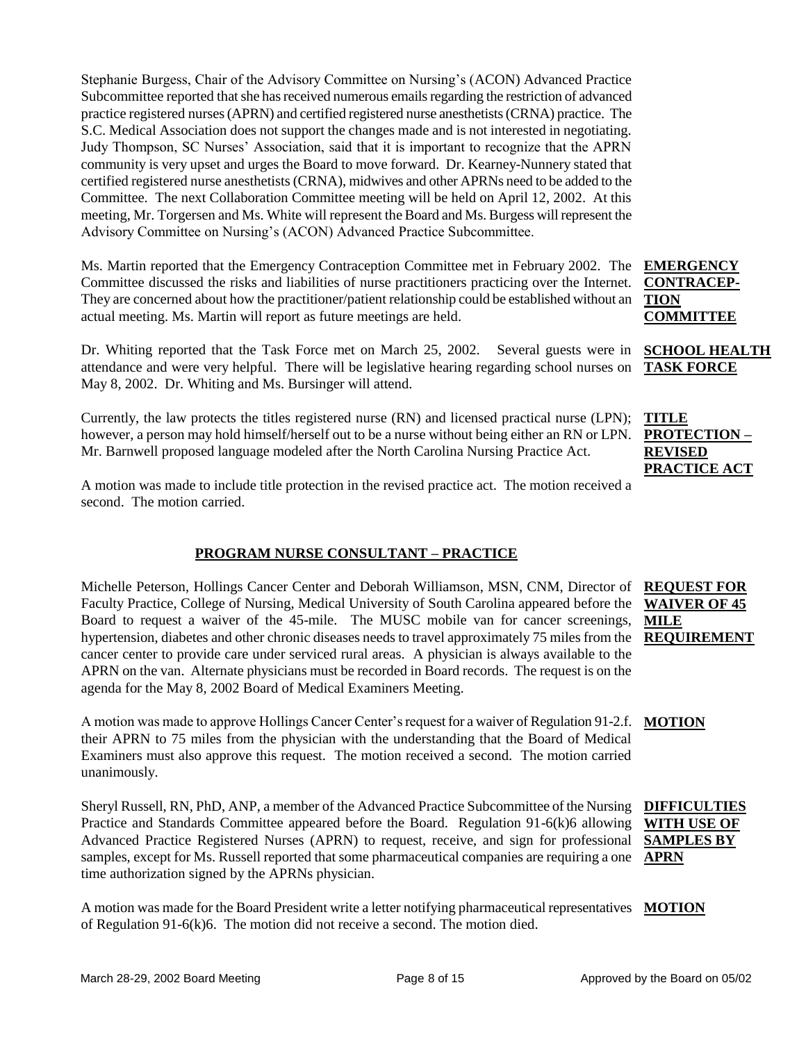Stephanie Burgess, Chair of the Advisory Committee on Nursing's (ACON) Advanced Practice Subcommittee reported that she has received numerous emails regarding the restriction of advanced practice registered nurses (APRN) and certified registered nurse anesthetists (CRNA) practice. The S.C. Medical Association does not support the changes made and is not interested in negotiating. Judy Thompson, SC Nurses' Association, said that it is important to recognize that the APRN community is very upset and urges the Board to move forward. Dr. Kearney-Nunnery stated that certified registered nurse anesthetists (CRNA), midwives and other APRNs need to be added to the Committee. The next Collaboration Committee meeting will be held on April 12, 2002. At this meeting, Mr. Torgersen and Ms. White will represent the Board and Ms. Burgess will represent the Advisory Committee on Nursing's (ACON) Advanced Practice Subcommittee.

Ms. Martin reported that the Emergency Contraception Committee met in February 2002. The **EMERGENCY**  Committee discussed the risks and liabilities of nurse practitioners practicing over the Internet. They are concerned about how the practitioner/patient relationship could be established without an actual meeting. Ms. Martin will report as future meetings are held.

Dr. Whiting reported that the Task Force met on March 25, 2002. Several guests were in attendance and were very helpful. There will be legislative hearing regarding school nurses on May 8, 2002. Dr. Whiting and Ms. Bursinger will attend.

Currently, the law protects the titles registered nurse (RN) and licensed practical nurse (LPN); however, a person may hold himself/herself out to be a nurse without being either an RN or LPN. Mr. Barnwell proposed language modeled after the North Carolina Nursing Practice Act.

A motion was made to include title protection in the revised practice act. The motion received a second. The motion carried.

### **PROGRAM NURSE CONSULTANT – PRACTICE**

Michelle Peterson, Hollings Cancer Center and Deborah Williamson, MSN, CNM, Director of Faculty Practice, College of Nursing, Medical University of South Carolina appeared before the Board to request a waiver of the 45-mile. The MUSC mobile van for cancer screenings, hypertension, diabetes and other chronic diseases needs to travel approximately 75 miles from the cancer center to provide care under serviced rural areas. A physician is always available to the APRN on the van. Alternate physicians must be recorded in Board records. The request is on the agenda for the May 8, 2002 Board of Medical Examiners Meeting. **REQUEST FOR** 

A motion was made to approve Hollings Cancer Center's request for a waiver of Regulation 91-2.f. **MOTION** their APRN to 75 miles from the physician with the understanding that the Board of Medical Examiners must also approve this request. The motion received a second. The motion carried unanimously.

Sheryl Russell, RN, PhD, ANP, a member of the Advanced Practice Subcommittee of the Nursing Practice and Standards Committee appeared before the Board. Regulation 91-6(k)6 allowing Advanced Practice Registered Nurses (APRN) to request, receive, and sign for professional samples, except for Ms. Russell reported that some pharmaceutical companies are requiring a one **APRN** time authorization signed by the APRNs physician.

A motion was made for the Board President write a letter notifying pharmaceutical representatives **MOTION**of Regulation 91-6(k)6. The motion did not receive a second. The motion died.

**CONTRACEP-TION COMMITTEE**

**SCHOOL HEALTH TASK FORCE**

**TITLE PROTECTION – REVISED PRACTICE ACT**

# **WAIVER OF 45 MILE REQUIREMENT**

**DIFFICULTIES WITH USE OF SAMPLES BY**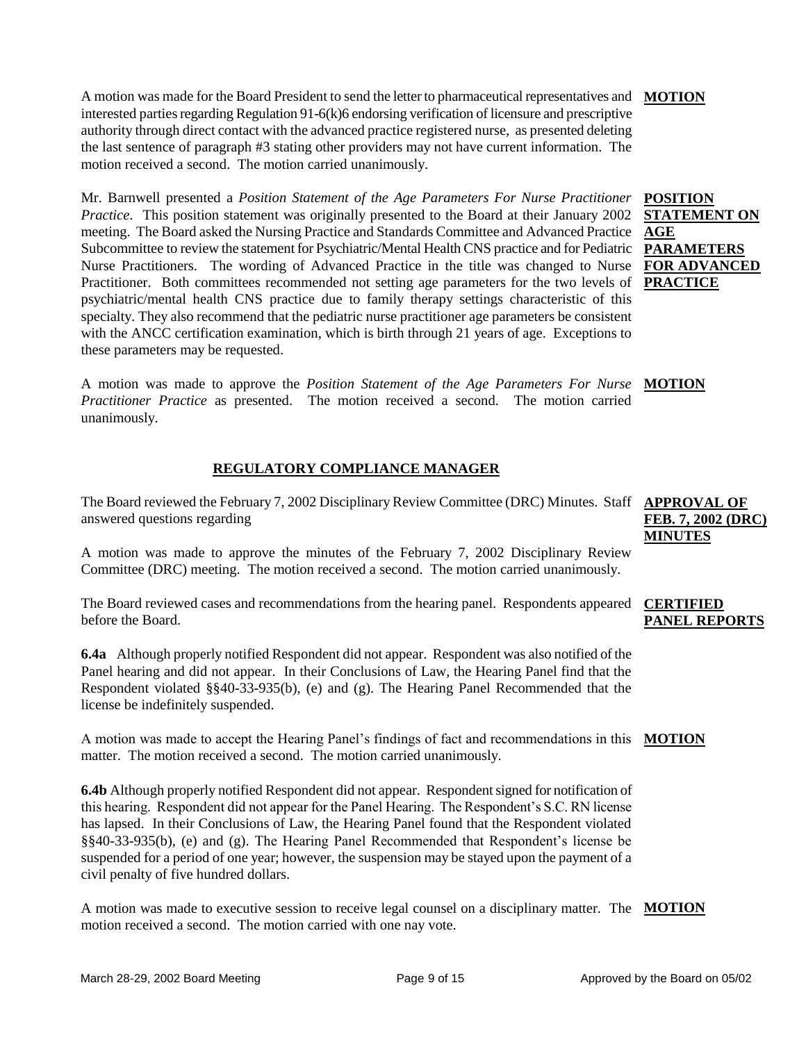A motion was made for the Board President to send the letter to pharmaceutical representatives and interested parties regarding Regulation 91-6(k)6 endorsing verification of licensure and prescriptive authority through direct contact with the advanced practice registered nurse, as presented deleting the last sentence of paragraph #3 stating other providers may not have current information. The motion received a second. The motion carried unanimously. **MOTION**

Mr. Barnwell presented a *Position Statement of the Age Parameters For Nurse Practitioner Practice.* This position statement was originally presented to the Board at their January 2002 meeting. The Board asked the Nursing Practice and Standards Committee and Advanced Practice Subcommittee to review the statement for Psychiatric/Mental Health CNS practice and for Pediatric Nurse Practitioners. The wording of Advanced Practice in the title was changed to Nurse Practitioner. Both committees recommended not setting age parameters for the two levels of psychiatric/mental health CNS practice due to family therapy settings characteristic of this specialty. They also recommend that the pediatric nurse practitioner age parameters be consistent with the ANCC certification examination, which is birth through 21 years of age. Exceptions to these parameters may be requested.

A motion was made to approve the *Position Statement of the Age Parameters For Nurse*  **MOTION** *Practitioner Practice* as presented. The motion received a second. The motion carried unanimously.

### **REGULATORY COMPLIANCE MANAGER**

The Board reviewed the February 7, 2002 Disciplinary Review Committee (DRC) Minutes. Staff **APPROVAL OF** answered questions regarding

A motion was made to approve the minutes of the February 7, 2002 Disciplinary Review Committee (DRC) meeting. The motion received a second. The motion carried unanimously.

The Board reviewed cases and recommendations from the hearing panel. Respondents appeared **CERTIFIED**  before the Board.

**6.4a** Although properly notified Respondent did not appear. Respondent was also notified of the Panel hearing and did not appear. In their Conclusions of Law, the Hearing Panel find that the Respondent violated §§40-33-935(b), (e) and (g). The Hearing Panel Recommended that the license be indefinitely suspended.

A motion was made to accept the Hearing Panel's findings of fact and recommendations in this **MOTION** matter. The motion received a second. The motion carried unanimously.

**6.4b** Although properly notified Respondent did not appear. Respondent signed for notification of this hearing. Respondent did not appear for the Panel Hearing. The Respondent's S.C. RN license has lapsed. In their Conclusions of Law, the Hearing Panel found that the Respondent violated §§40-33-935(b), (e) and (g). The Hearing Panel Recommended that Respondent's license be suspended for a period of one year; however, the suspension may be stayed upon the payment of a civil penalty of five hundred dollars.

A motion was made to executive session to receive legal counsel on a disciplinary matter. The **MOTION**motion received a second. The motion carried with one nay vote.

**FEB. 7, 2002 (DRC) MINUTES**

# **PANEL REPORTS**

**POSITION STATEMENT ON AGE PARAMETERS FOR ADVANCED PRACTICE**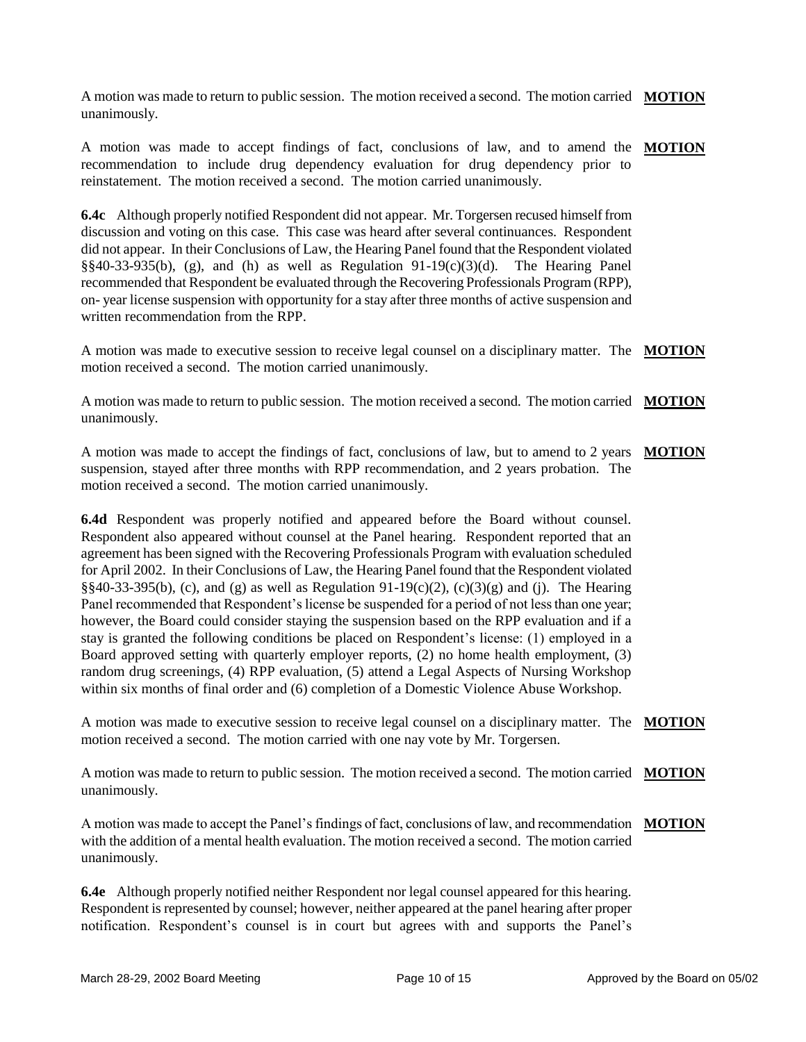A motion was made to return to public session. The motion received a second. The motion carried **MOTION** unanimously.

A motion was made to accept findings of fact, conclusions of law, and to amend the **MOTION** recommendation to include drug dependency evaluation for drug dependency prior to reinstatement. The motion received a second. The motion carried unanimously.

**6.4c** Although properly notified Respondent did not appear. Mr. Torgersen recused himself from discussion and voting on this case. This case was heard after several continuances. Respondent did not appear. In their Conclusions of Law, the Hearing Panel found that the Respondent violated  $\S$ §40-33-935(b), (g), and (h) as well as Regulation 91-19(c)(3)(d). The Hearing Panel recommended that Respondent be evaluated through the Recovering Professionals Program (RPP), on- year license suspension with opportunity for a stay after three months of active suspension and written recommendation from the RPP.

A motion was made to executive session to receive legal counsel on a disciplinary matter. The **MOTION** motion received a second. The motion carried unanimously.

A motion was made to return to public session. The motion received a second. The motion carried **MOTION** unanimously.

A motion was made to accept the findings of fact, conclusions of law, but to amend to 2 years **MOTION** suspension, stayed after three months with RPP recommendation, and 2 years probation. The motion received a second. The motion carried unanimously.

**6.4d** Respondent was properly notified and appeared before the Board without counsel. Respondent also appeared without counsel at the Panel hearing. Respondent reported that an agreement has been signed with the Recovering Professionals Program with evaluation scheduled for April 2002. In their Conclusions of Law, the Hearing Panel found that the Respondent violated §§40-33-395(b), (c), and (g) as well as Regulation 91-19(c)(2), (c)(3)(g) and (j). The Hearing Panel recommended that Respondent's license be suspended for a period of not less than one year; however, the Board could consider staying the suspension based on the RPP evaluation and if a stay is granted the following conditions be placed on Respondent's license: (1) employed in a Board approved setting with quarterly employer reports, (2) no home health employment, (3) random drug screenings, (4) RPP evaluation, (5) attend a Legal Aspects of Nursing Workshop within six months of final order and (6) completion of a Domestic Violence Abuse Workshop.

A motion was made to executive session to receive legal counsel on a disciplinary matter. The **MOTION** motion received a second. The motion carried with one nay vote by Mr. Torgersen.

A motion was made to return to public session. The motion received a second. The motion carried **MOTION** unanimously.

A motion was made to accept the Panel's findings of fact, conclusions of law, and recommendation **MOTION**with the addition of a mental health evaluation. The motion received a second. The motion carried unanimously.

**6.4e** Although properly notified neither Respondent nor legal counsel appeared for this hearing. Respondent is represented by counsel; however, neither appeared at the panel hearing after proper notification. Respondent's counsel is in court but agrees with and supports the Panel's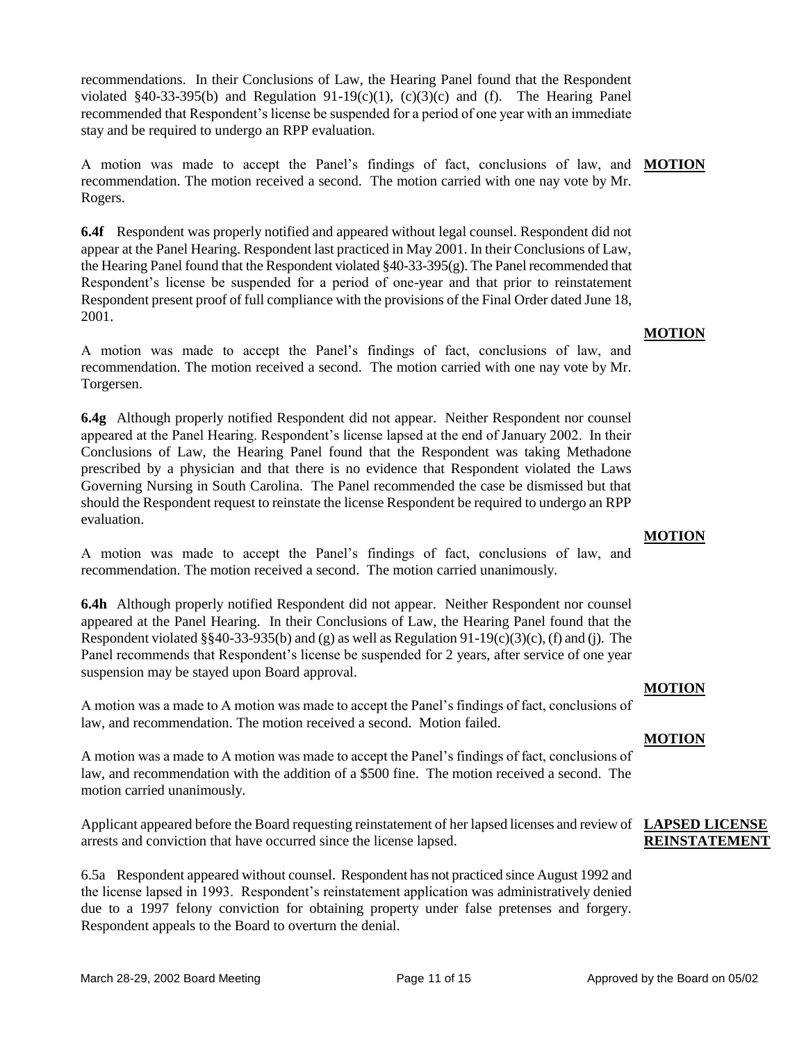recommendations. In their Conclusions of Law, the Hearing Panel found that the Respondent violated §40-33-395(b) and Regulation  $91-19(c)(1)$ ,  $(c)(3)(c)$  and (f). The Hearing Panel recommended that Respondent's license be suspended for a period of one year with an immediate stay and be required to undergo an RPP evaluation.

A motion was made to accept the Panel's findings of fact, conclusions of law, and **MOTION** recommendation. The motion received a second. The motion carried with one nay vote by Mr. Rogers.

**6.4f** Respondent was properly notified and appeared without legal counsel. Respondent did not appear at the Panel Hearing. Respondent last practiced in May 2001. In their Conclusions of Law, the Hearing Panel found that the Respondent violated  $\S 40-33-395(g)$ . The Panel recommended that Respondent's license be suspended for a period of one-year and that prior to reinstatement Respondent present proof of full compliance with the provisions of the Final Order dated June 18, 2001.

A motion was made to accept the Panel's findings of fact, conclusions of law, and recommendation. The motion received a second. The motion carried with one nay vote by Mr. Torgersen.

**6.4g** Although properly notified Respondent did not appear. Neither Respondent nor counsel appeared at the Panel Hearing. Respondent's license lapsed at the end of January 2002. In their Conclusions of Law, the Hearing Panel found that the Respondent was taking Methadone prescribed by a physician and that there is no evidence that Respondent violated the Laws Governing Nursing in South Carolina. The Panel recommended the case be dismissed but that should the Respondent request to reinstate the license Respondent be required to undergo an RPP evaluation.

A motion was made to accept the Panel's findings of fact, conclusions of law, and recommendation. The motion received a second. The motion carried unanimously.

**6.4h** Although properly notified Respondent did not appear. Neither Respondent nor counsel appeared at the Panel Hearing. In their Conclusions of Law, the Hearing Panel found that the Respondent violated §§40-33-935(b) and (g) as well as Regulation 91-19(c)(3)(c), (f) and (j). The Panel recommends that Respondent's license be suspended for 2 years, after service of one year suspension may be stayed upon Board approval.

A motion was a made to A motion was made to accept the Panel's findings of fact, conclusions of law, and recommendation. The motion received a second. Motion failed.

A motion was a made to A motion was made to accept the Panel's findings of fact, conclusions of law, and recommendation with the addition of a \$500 fine. The motion received a second. The motion carried unanimously.

Applicant appeared before the Board requesting reinstatement of her lapsed licenses and review of **LAPSED LICENSE**  arrests and conviction that have occurred since the license lapsed.

6.5a Respondent appeared without counsel. Respondent has not practiced since August 1992 and the license lapsed in 1993. Respondent's reinstatement application was administratively denied due to a 1997 felony conviction for obtaining property under false pretenses and forgery. Respondent appeals to the Board to overturn the denial.

### **MOTION**

### **MOTION**

# **MOTION**

**MOTION**

# **REINSTATEMENT**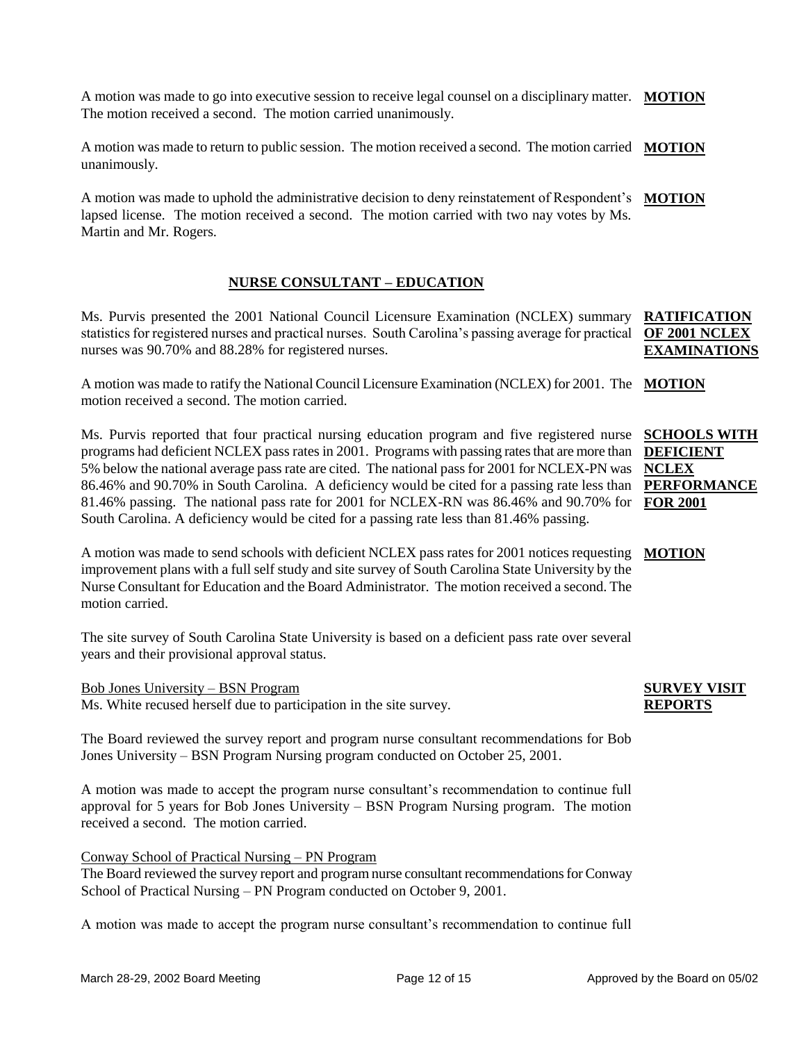A motion was made to go into executive session to receive legal counsel on a disciplinary matter. **MOTION** The motion received a second. The motion carried unanimously.

A motion was made to return to public session. The motion received a second. The motion carried **MOTION** unanimously.

A motion was made to uphold the administrative decision to deny reinstatement of Respondent's **MOTION** lapsed license. The motion received a second. The motion carried with two nay votes by Ms. Martin and Mr. Rogers.

### **NURSE CONSULTANT – EDUCATION**

Ms. Purvis presented the 2001 National Council Licensure Examination (NCLEX) summary statistics for registered nurses and practical nurses. South Carolina's passing average for practical nurses was 90.70% and 88.28% for registered nurses. **RATIFICATION** 

A motion was made to ratify the National Council Licensure Examination (NCLEX) for 2001. The **MOTION** motion received a second. The motion carried.

Ms. Purvis reported that four practical nursing education program and five registered nurse **SCHOOLS WITH**  programs had deficient NCLEX pass rates in 2001. Programs with passing rates that are more than 5% below the national average pass rate are cited. The national pass for 2001 for NCLEX-PN was 86.46% and 90.70% in South Carolina. A deficiency would be cited for a passing rate less than **PERFORMANCE**  81.46% passing. The national pass rate for 2001 for NCLEX-RN was 86.46% and 90.70% for **FOR 2001** South Carolina. A deficiency would be cited for a passing rate less than 81.46% passing. **DEFICIENT NCLEX** 

A motion was made to send schools with deficient NCLEX pass rates for 2001 notices requesting **MOTION** improvement plans with a full self study and site survey of South Carolina State University by the Nurse Consultant for Education and the Board Administrator. The motion received a second. The motion carried.

The site survey of South Carolina State University is based on a deficient pass rate over several years and their provisional approval status.

Bob Jones University – BSN Program Ms. White recused herself due to participation in the site survey.

The Board reviewed the survey report and program nurse consultant recommendations for Bob Jones University – BSN Program Nursing program conducted on October 25, 2001.

A motion was made to accept the program nurse consultant's recommendation to continue full approval for 5 years for Bob Jones University – BSN Program Nursing program. The motion received a second. The motion carried.

### Conway School of Practical Nursing – PN Program

The Board reviewed the survey report and program nurse consultant recommendations for Conway School of Practical Nursing – PN Program conducted on October 9, 2001.

A motion was made to accept the program nurse consultant's recommendation to continue full

### **SURVEY VISIT REPORTS**

# **OF 2001 NCLEX EXAMINATIONS**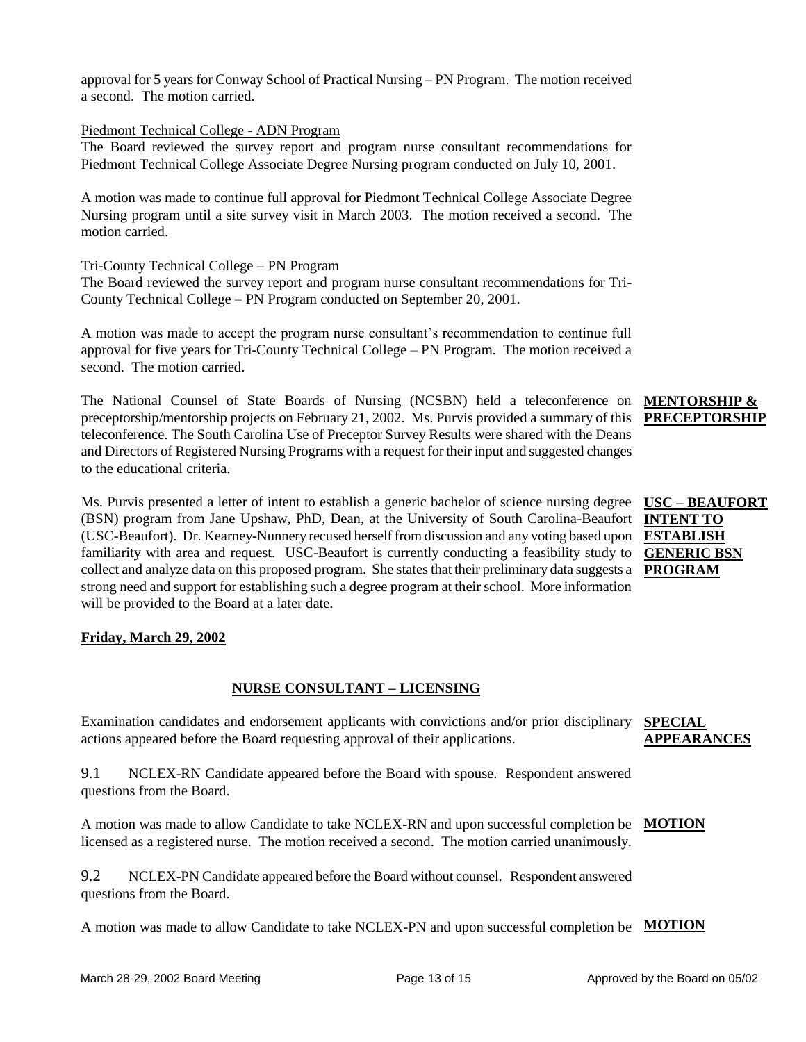approval for 5 years for Conway School of Practical Nursing – PN Program. The motion received a second. The motion carried.

### Piedmont Technical College - ADN Program

The Board reviewed the survey report and program nurse consultant recommendations for Piedmont Technical College Associate Degree Nursing program conducted on July 10, 2001.

A motion was made to continue full approval for Piedmont Technical College Associate Degree Nursing program until a site survey visit in March 2003. The motion received a second. The motion carried.

### Tri-County Technical College – PN Program

The Board reviewed the survey report and program nurse consultant recommendations for Tri-County Technical College – PN Program conducted on September 20, 2001.

A motion was made to accept the program nurse consultant's recommendation to continue full approval for five years for Tri-County Technical College – PN Program. The motion received a second. The motion carried.

The National Counsel of State Boards of Nursing (NCSBN) held a teleconference on preceptorship/mentorship projects on February 21, 2002. Ms. Purvis provided a summary of this teleconference. The South Carolina Use of Preceptor Survey Results were shared with the Deans and Directors of Registered Nursing Programs with a request for their input and suggested changes to the educational criteria.

Ms. Purvis presented a letter of intent to establish a generic bachelor of science nursing degree **USC – BEAUFORT** (BSN) program from Jane Upshaw, PhD, Dean, at the University of South Carolina-Beaufort **INTENT TO**  (USC-Beaufort). Dr. Kearney-Nunnery recused herself from discussion and any voting based upon **ESTABLISH**  familiarity with area and request. USC-Beaufort is currently conducting a feasibility study to **GENERIC BSN** collect and analyze data on this proposed program. She states that their preliminary data suggests a strong need and support for establishing such a degree program at their school. More information will be provided to the Board at a later date.

### **Friday, March 29, 2002**

### **NURSE CONSULTANT – LICENSING**

Examination candidates and endorsement applicants with convictions and/or prior disciplinary actions appeared before the Board requesting approval of their applications. **SPECIAL APPEARANCES**

9.1 NCLEX-RN Candidate appeared before the Board with spouse. Respondent answered questions from the Board.

A motion was made to allow Candidate to take NCLEX-RN and upon successful completion be **MOTION** licensed as a registered nurse. The motion received a second. The motion carried unanimously.

9.2 NCLEX-PN Candidate appeared before the Board without counsel. Respondent answered questions from the Board.

A motion was made to allow Candidate to take NCLEX-PN and upon successful completion be **MOTION**

## **MENTORSHIP & PRECEPTORSHIP**

**PROGRAM**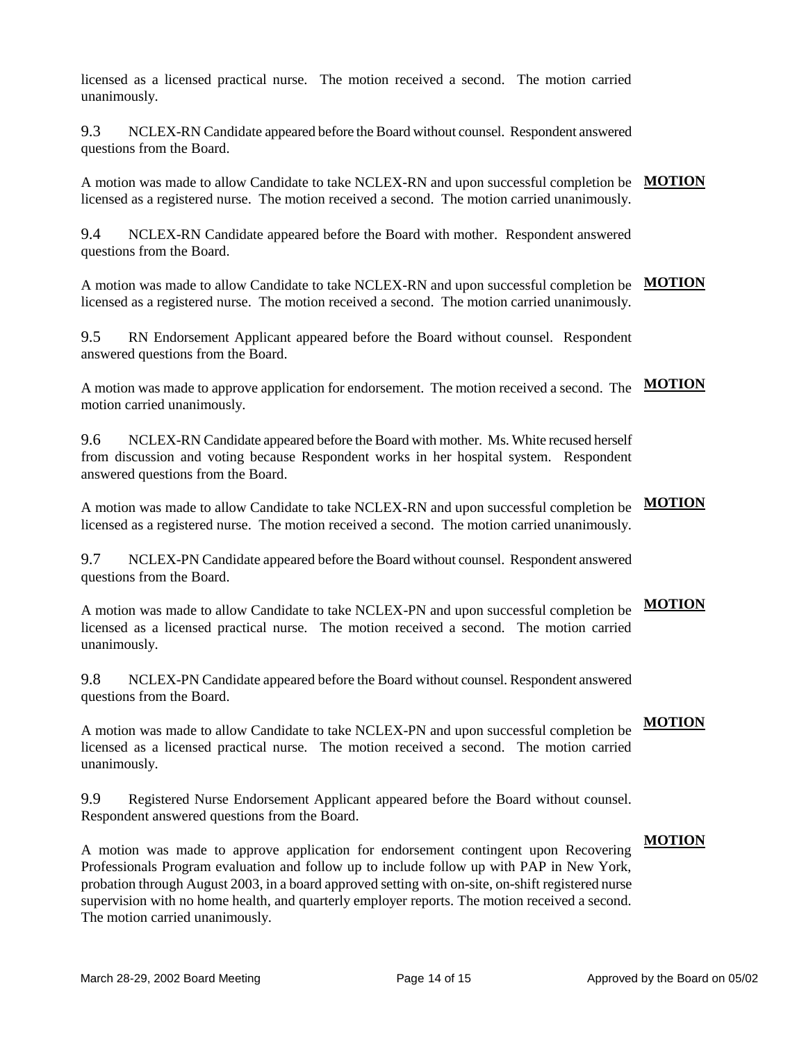licensed as a licensed practical nurse. The motion received a second. The motion carried unanimously.

9.3 NCLEX-RN Candidate appeared before the Board without counsel. Respondent answered questions from the Board.

A motion was made to allow Candidate to take NCLEX-RN and upon successful completion be **MOTION** licensed as a registered nurse. The motion received a second. The motion carried unanimously.

9.4 NCLEX-RN Candidate appeared before the Board with mother. Respondent answered questions from the Board.

A motion was made to allow Candidate to take NCLEX-RN and upon successful completion be **MOTION** licensed as a registered nurse. The motion received a second. The motion carried unanimously.

9.5 RN Endorsement Applicant appeared before the Board without counsel. Respondent answered questions from the Board.

A motion was made to approve application for endorsement. The motion received a second. The **MOTION** motion carried unanimously.

9.6 NCLEX-RN Candidate appeared before the Board with mother. Ms. White recused herself from discussion and voting because Respondent works in her hospital system. Respondent answered questions from the Board.

A motion was made to allow Candidate to take NCLEX-RN and upon successful completion be licensed as a registered nurse. The motion received a second. The motion carried unanimously. **MOTION**

9.7 NCLEX-PN Candidate appeared before the Board without counsel. Respondent answered questions from the Board.

A motion was made to allow Candidate to take NCLEX-PN and upon successful completion be licensed as a licensed practical nurse. The motion received a second. The motion carried unanimously. **MOTION**

9.8 NCLEX-PN Candidate appeared before the Board without counsel. Respondent answered questions from the Board.

A motion was made to allow Candidate to take NCLEX-PN and upon successful completion be licensed as a licensed practical nurse. The motion received a second. The motion carried unanimously.

9.9 Registered Nurse Endorsement Applicant appeared before the Board without counsel. Respondent answered questions from the Board.

A motion was made to approve application for endorsement contingent upon Recovering Professionals Program evaluation and follow up to include follow up with PAP in New York, probation through August 2003, in a board approved setting with on-site, on-shift registered nurse supervision with no home health, and quarterly employer reports. The motion received a second. The motion carried unanimously.

# **MOTION**

**MOTION**